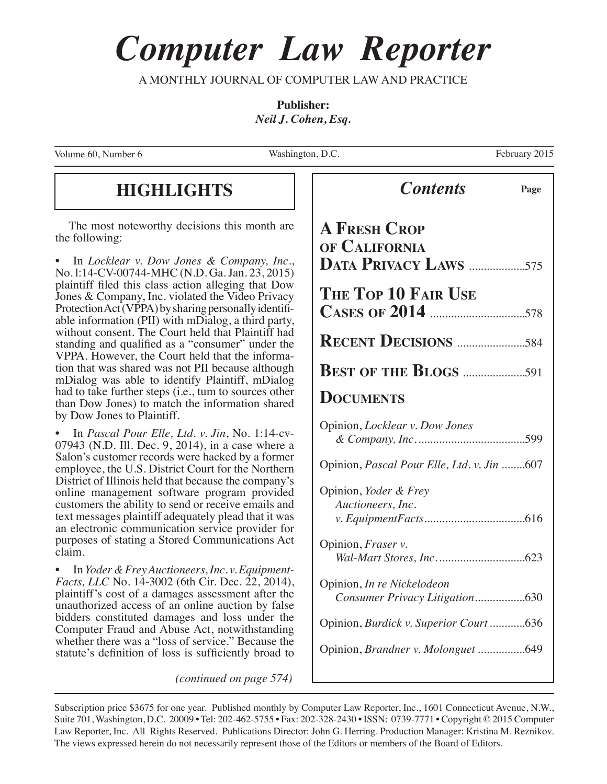# *Computer Law Reporter*

A MONTHLY JOURNAL OF COMPUTER LAW AND PRACTICE

**Publisher:** *Neil J. Cohen, Esq.*

Volume 60, Number 6

Washington, D.C. February 2015

### **HIGHLIGHTS** *Contents* **Page**

The most noteworthy decisions this month are the following:

• In *Locklear v. Dow Jones & Company, Inc.*, No. l:14-CV-00744-MHC (N.D. Ga. Jan. 23, 2015) plaintiff filed this class action alleging that Dow Jones & Company, Inc. violated the Video Privacy Protection Act (VPPA) by sharing personally identifiable information (PII) with mDialog, a third party, without consent. The Court held that Plaintiff had standing and qualified as a "consumer" under the VPPA. However, the Court held that the information that was shared was not PII because although mDialog was able to identify Plaintiff, mDialog had to take further steps (i.e., tum to sources other than Dow Jones) to match the information shared by Dow Jones to Plaintiff.

• In *Pascal Pour Elle, Ltd. v. Jin*, No. 1:14-cv-07943 (N.D. Ill. Dec. 9, 2014), in a case where a Salon's customer records were hacked by a former employee, the U.S. District Court for the Northern District of Illinois held that because the company's online management software program provided customers the ability to send or receive emails and text messages plaintiff adequately plead that it was an electronic communication service provider for purposes of stating a Stored Communications Act claim.

• In *Yoder & Frey Auctioneers, Inc. v. Equipment- Facts, LLC* No. 14-3002 (6th Cir. Dec. 22, 2014), plaintiff's cost of a damages assessment after the unauthorized access of an online auction by false bidders constituted damages and loss under the Computer Fraud and Abuse Act, notwithstanding whether there was a "loss of service." Because the statute's definition of loss is sufficiently broad to

*(continued on page 574)*

| <b>Contents</b>                                               | Page |
|---------------------------------------------------------------|------|
| <b>A FRESH CROP</b><br>OF CALIFORNIA<br>DATA PRIVACY LAWS 575 |      |
| THE TOP 10 FAIR USE                                           |      |
|                                                               |      |
|                                                               |      |
| <b>DOCUMENTS</b>                                              |      |
| Opinion, Locklear v. Dow Jones                                |      |
| Opinion, Pascal Pour Elle, Ltd. v. Jin 607                    |      |
| Opinion, Yoder & Frey<br>Auctioneers, Inc.                    |      |
| Opinion, <i>Fraser v.</i>                                     |      |
| Opinion, In re Nickelodeon<br>Consumer Privacy Litigation630  |      |
| Opinion, Burdick v. Superior Court 636                        |      |
| Opinion, Brandner v. Molonguet 649                            |      |
|                                                               |      |

Subscription price \$3675 for one year. Published monthly by Computer Law Reporter, Inc., 1601 Connecticut Avenue, N.W., Suite 701, Washington, D.C. 20009 • Tel: 202-462-5755 • Fax: 202-328-2430 • ISSN: 0739-7771 • Copyright © 2015 Computer Law Reporter, Inc. All Rights Reserved. Publications Director: John G. Herring. Production Manager: Kristina M. Reznikov. The views expressed herein do not necessarily represent those of the Editors or members of the Board of Editors.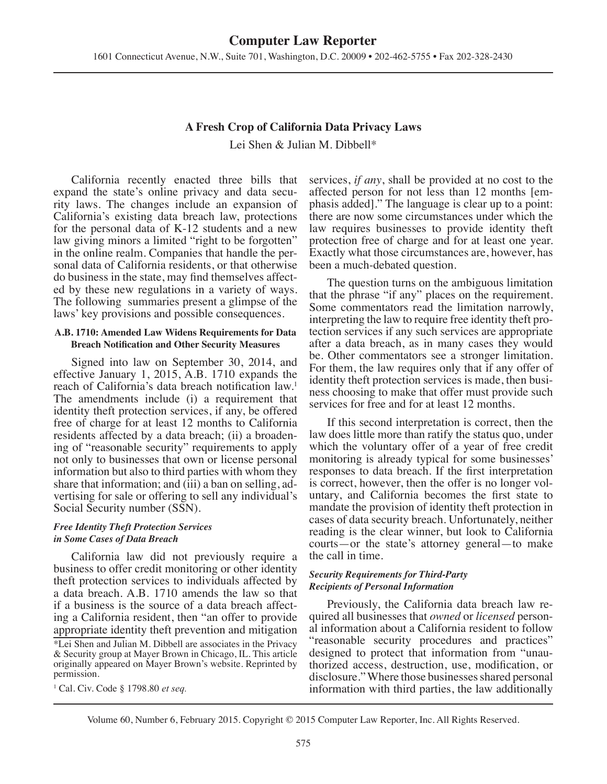## **A Fresh Crop of California Data Privacy Laws**

Lei Shen & Julian M. Dibbell\*

California recently enacted three bills that expand the state's online privacy and data security laws. The changes include an expansion of California's existing data breach law, protections for the personal data of K-12 students and a new law giving minors a limited "right to be forgotten" in the online realm. Companies that handle the personal data of California residents, or that otherwise do business in the state, may find themselves affected by these new regulations in a variety of ways. The following summaries present a glimpse of the laws' key provisions and possible consequences.

#### **A.B. 1710: Amended Law Widens Requirements for Data Breach Notification and Other Security Measures**

Signed into law on September 30, 2014, and effective January 1, 2015, A.B. 1710 expands the reach of California's data breach notification law.<sup>1</sup> The amendments include (i) a requirement that identity theft protection services, if any, be offered free of charge for at least 12 months to California residents affected by a data breach; (ii) a broadening of "reasonable security" requirements to apply not only to businesses that own or license personal information but also to third parties with whom they share that information; and (iii) a ban on selling, advertising for sale or offering to sell any individual's Social Security number (SSN).

#### *Free Identity Theft Protection Services in Some Cases of Data Breach*

California law did not previously require a business to offer credit monitoring or other identity theft protection services to individuals affected by a data breach. A.B. 1710 amends the law so that if a business is the source of a data breach affecting a California resident, then "an offer to provide appropriate identity theft prevention and mitigation

1 Cal. Civ. Code § 1798.80 *et seq.*

services, *if any*, shall be provided at no cost to the affected person for not less than 12 months [emphasis added]." The language is clear up to a point: there are now some circumstances under which the law requires businesses to provide identity theft protection free of charge and for at least one year. Exactly what those circumstances are, however, has been a much-debated question.

The question turns on the ambiguous limitation that the phrase "if any" places on the requirement. Some commentators read the limitation narrowly, interpreting the law to require free identity theft protection services if any such services are appropriate after a data breach, as in many cases they would be. Other commentators see a stronger limitation. For them, the law requires only that if any offer of identity theft protection services is made, then business choosing to make that offer must provide such services for free and for at least 12 months.

If this second interpretation is correct, then the law does little more than ratify the status quo, under which the voluntary offer of a year of free credit monitoring is already typical for some businesses' responses to data breach. If the first interpretation is correct, however, then the offer is no longer voluntary, and California becomes the first state to mandate the provision of identity theft protection in cases of data security breach. Unfortunately, neither reading is the clear winner, but look to California courts—or the state's attorney general—to make the call in time.

#### *Security Requirements for Third-Party Recipients of Personal Information*

Previously, the California data breach law required all businesses that *owned* or *licensed* personal information about a California resident to follow "reasonable security procedures and practices" designed to protect that information from "unauthorized access, destruction, use, modification, or disclosure." Where those businesses shared personal information with third parties, the law additionally

<sup>\*</sup>Lei Shen and Julian M. Dibbell are associates in the Privacy & Security group at Mayer Brown in Chicago, IL. This article originally appeared on Mayer Brown's website. Reprinted by permission.

Volume 60, Number 6, February 2015. Copyright © 2015 Computer Law Reporter, Inc. All Rights Reserved.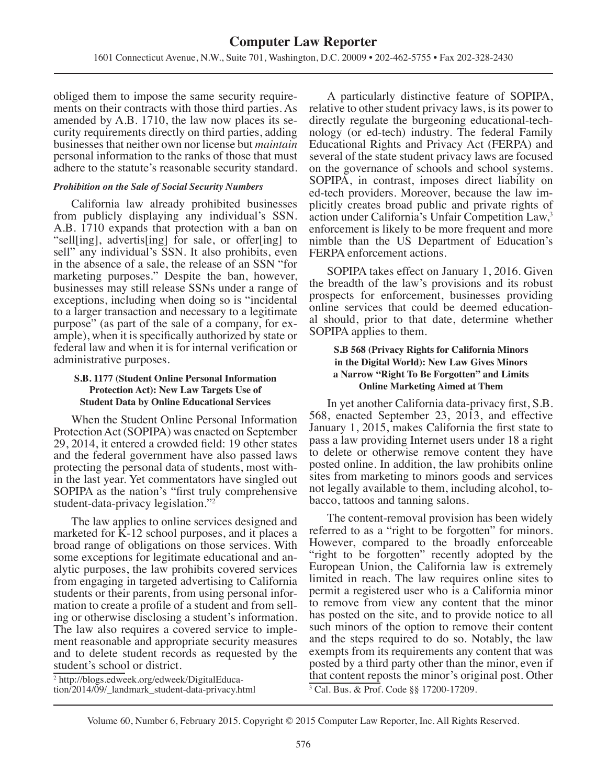obliged them to impose the same security requirements on their contracts with those third parties. As amended by A.B. 1710, the law now places its security requirements directly on third parties, adding businesses that neither own nor license but *maintain* personal information to the ranks of those that must adhere to the statute's reasonable security standard.

#### *Prohibition on the Sale of Social Security Numbers*

California law already prohibited businesses from publicly displaying any individual's SSN. A.B. 1710 expands that protection with a ban on "sell[ing], advertis[ing] for sale, or offer[ing] to sell" any individual's SSN. It also prohibits, even in the absence of a sale, the release of an SSN "for marketing purposes." Despite the ban, however, businesses may still release SSNs under a range of exceptions, including when doing so is "incidental to a larger transaction and necessary to a legitimate purpose" (as part of the sale of a company, for example), when it is specifically authorized by state or federal law and when it is for internal verification or administrative purposes.

#### **S.B. 1177 (Student Online Personal Information Protection Act): New Law Targets Use of Student Data by Online Educational Services**

When the Student Online Personal Information Protection Act (SOPIPA) was enacted on September 29, 2014, it entered a crowded field: 19 other states and the federal government have also passed laws protecting the personal data of students, most within the last year. Yet commentators have singled out SOPIPA as the nation's "first truly comprehensive student-data-privacy legislation."<sup>2</sup>

The law applies to online services designed and marketed for K-12 school purposes, and it places a broad range of obligations on those services. With some exceptions for legitimate educational and analytic purposes, the law prohibits covered services from engaging in targeted advertising to California students or their parents, from using personal information to create a profile of a student and from selling or otherwise disclosing a student's information. The law also requires a covered service to implement reasonable and appropriate security measures and to delete student records as requested by the student's school or district.

2 http://blogs.edweek.org/edweek/DigitalEducation/2014/09/\_landmark\_student-data-privacy.html

A particularly distinctive feature of SOPIPA, relative to other student privacy laws, is its power to directly regulate the burgeoning educational-technology (or ed-tech) industry. The federal Family Educational Rights and Privacy Act (FERPA) and several of the state student privacy laws are focused on the governance of schools and school systems. SOPIPA, in contrast, imposes direct liability on ed-tech providers. Moreover, because the law implicitly creates broad public and private rights of action under California's Unfair Competition Law,<sup>3</sup> enforcement is likely to be more frequent and more nimble than the US Department of Education's FERPA enforcement actions.

SOPIPA takes effect on January 1, 2016. Given the breadth of the law's provisions and its robust prospects for enforcement, businesses providing online services that could be deemed educational should, prior to that date, determine whether SOPIPA applies to them.

#### **S.B 568 (Privacy Rights for California Minors in the Digital World): New Law Gives Minors a Narrow "Right To Be Forgotten" and Limits Online Marketing Aimed at Them**

In yet another California data-privacy first, S.B. 568, enacted September 23, 2013, and effective January 1, 2015, makes California the first state to pass a law providing Internet users under 18 a right to delete or otherwise remove content they have posted online. In addition, the law prohibits online sites from marketing to minors goods and services not legally available to them, including alcohol, tobacco, tattoos and tanning salons.

The content-removal provision has been widely referred to as a "right to be forgotten" for minors. However, compared to the broadly enforceable "right to be forgotten" recently adopted by the European Union, the California law is extremely limited in reach. The law requires online sites to permit a registered user who is a California minor to remove from view any content that the minor has posted on the site, and to provide notice to all such minors of the option to remove their content and the steps required to do so. Notably, the law exempts from its requirements any content that was posted by a third party other than the minor, even if that content reposts the minor's original post. Other 3 Cal. Bus. & Prof. Code §§ 17200-17209.

Volume 60, Number 6, February 2015. Copyright © 2015 Computer Law Reporter, Inc. All Rights Reserved.